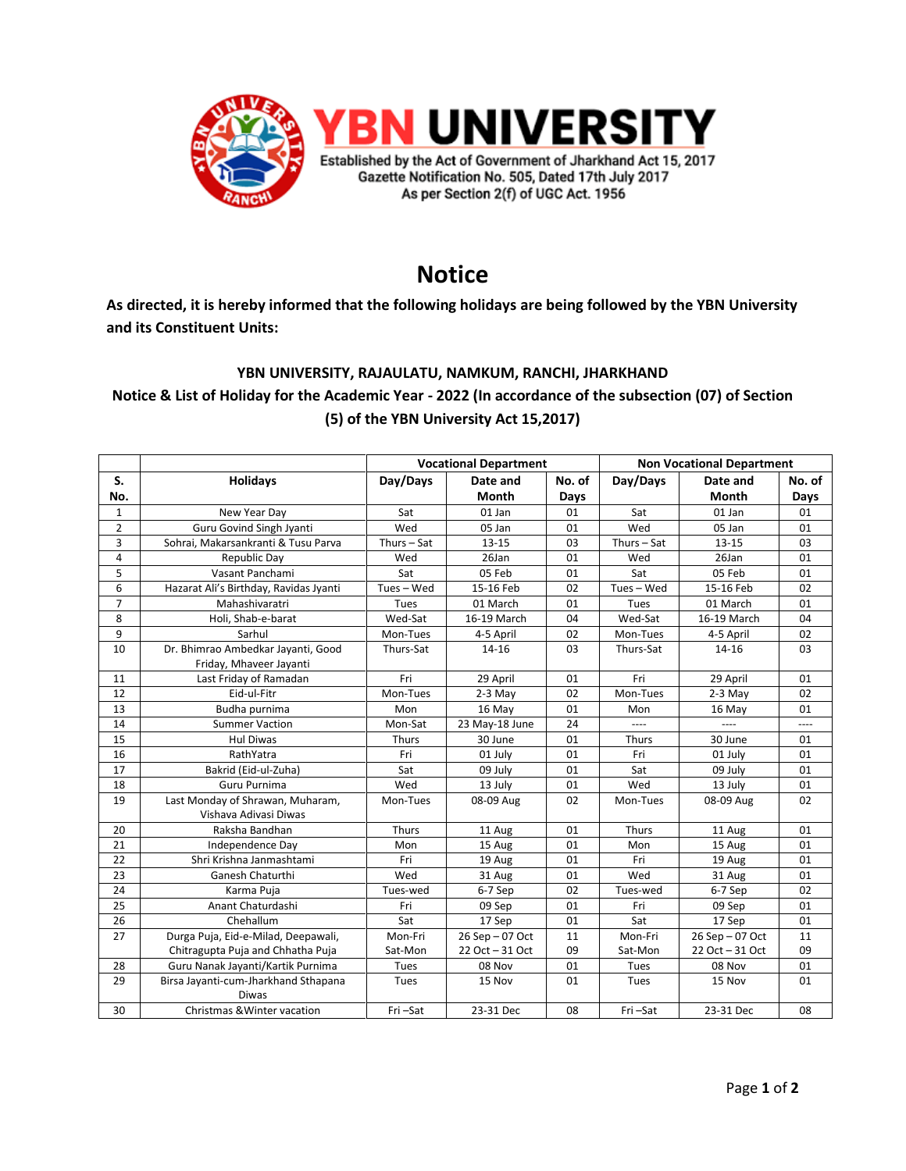

# **Notice**

**As directed, it is hereby informed that the following holidays are being followed by the YBN University and its Constituent Units:**

### **YBN UNIVERSITY, RAJAULATU, NAMKUM, RANCHI, JHARKHAND**

## **Notice & List of Holiday for the Academic Year - 2022 (In accordance of the subsection (07) of Section (5) of the YBN University Act 15,2017)**

|                |                                        | <b>Vocational Department</b> |                 |        | <b>Non Vocational Department</b> |                 |        |
|----------------|----------------------------------------|------------------------------|-----------------|--------|----------------------------------|-----------------|--------|
| S.             | <b>Holidays</b>                        | Day/Days                     | Date and        | No. of | Day/Days                         | Date and        | No. of |
| No.            |                                        |                              | Month           | Days   |                                  | <b>Month</b>    | Days   |
| $\mathbf{1}$   | New Year Day                           | Sat                          | 01 Jan          | 01     | Sat                              | $01$ Jan        | 01     |
| $\overline{2}$ | Guru Govind Singh Jyanti               | Wed                          | 05 Jan          | 01     | Wed                              | 05 Jan          | 01     |
| 3              | Sohrai, Makarsankranti & Tusu Parva    | Thurs $-$ Sat                | $13 - 15$       | 03     | Thurs $-$ Sat                    | $13 - 15$       | 03     |
| $\overline{4}$ | Republic Day                           | Wed                          | 26Jan           | 01     | Wed                              | 26Jan           | 01     |
| 5              | Vasant Panchami                        | Sat                          | 05 Feb          | 01     | Sat                              | 05 Feb          | 01     |
| 6              | Hazarat Ali's Birthday, Ravidas Jyanti | Tues-Wed                     | 15-16 Feb       | 02     | Tues - Wed                       | 15-16 Feb       | 02     |
| $\overline{7}$ | Mahashivaratri                         | Tues                         | 01 March        | 01     | Tues                             | 01 March        | 01     |
| 8              | Holi, Shab-e-barat                     | Wed-Sat                      | 16-19 March     | 04     | Wed-Sat                          | 16-19 March     | 04     |
| 9              | Sarhul                                 | Mon-Tues                     | 4-5 April       | 02     | Mon-Tues                         | 4-5 April       | 02     |
| 10             | Dr. Bhimrao Ambedkar Jayanti, Good     | Thurs-Sat                    | $14 - 16$       | 03     | Thurs-Sat                        | 14-16           | 03     |
|                | Friday, Mhaveer Jayanti                |                              |                 |        |                                  |                 |        |
| 11             | Last Friday of Ramadan                 | Fri                          | 29 April        | 01     | Fri                              | 29 April        | 01     |
| 12             | Eid-ul-Fitr                            | Mon-Tues                     | $2-3$ May       | 02     | Mon-Tues                         | $2-3$ May       | 02     |
| 13             | Budha purnima                          | Mon                          | 16 May          | 01     | Mon                              | 16 May          | 01     |
| 14             | <b>Summer Vaction</b>                  | Mon-Sat                      | 23 May-18 June  | 24     | ----                             | $---$           | ----   |
| 15             | <b>Hul Diwas</b>                       | Thurs                        | 30 June         | 01     | Thurs                            | 30 June         | 01     |
| 16             | RathYatra                              | Fri                          | 01 July         | 01     | Fri                              | 01 July         | 01     |
| 17             | Bakrid (Eid-ul-Zuha)                   | Sat                          | 09 July         | 01     | Sat                              | 09 July         | 01     |
| 18             | Guru Purnima                           | Wed                          | 13 July         | 01     | Wed                              | 13 July         | 01     |
| 19             | Last Monday of Shrawan, Muharam,       | Mon-Tues                     | 08-09 Aug       | 02     | Mon-Tues                         | 08-09 Aug       | 02     |
|                | Vishava Adivasi Diwas                  |                              |                 |        |                                  |                 |        |
| 20             | Raksha Bandhan                         | Thurs                        | 11 Aug          | 01     | Thurs                            | 11 Aug          | 01     |
| 21             | Independence Day                       | Mon                          | 15 Aug          | 01     | Mon                              | 15 Aug          | 01     |
| 22             | Shri Krishna Janmashtami               | Fri                          | 19 Aug          | 01     | Fri                              | 19 Aug          | 01     |
| 23             | Ganesh Chaturthi                       | Wed                          | 31 Aug          | 01     | Wed                              | 31 Aug          | 01     |
| 24             | Karma Puja                             | Tues-wed                     | 6-7 Sep         | 02     | Tues-wed                         | 6-7 Sep         | 02     |
| 25             | Anant Chaturdashi                      | Fri                          | 09 Sep          | 01     | Fri                              | 09 Sep          | 01     |
| 26             | Chehallum                              | Sat                          | 17 Sep          | 01     | Sat                              | 17 Sep          | 01     |
| 27             | Durga Puja, Eid-e-Milad, Deepawali,    | Mon-Fri                      | 26 Sep - 07 Oct | 11     | Mon-Fri                          | 26 Sep - 07 Oct | 11     |
|                | Chitragupta Puja and Chhatha Puja      | Sat-Mon                      | 22 Oct - 31 Oct | 09     | Sat-Mon                          | 22 Oct - 31 Oct | 09     |
| 28             | Guru Nanak Jayanti/Kartik Purnima      | Tues                         | 08 Nov          | 01     | Tues                             | 08 Nov          | 01     |
| 29             | Birsa Jayanti-cum-Jharkhand Sthapana   | Tues                         | 15 Nov          | 01     | Tues                             | 15 Nov          | 01     |
|                | <b>Diwas</b>                           |                              |                 |        |                                  |                 |        |
| 30             | Christmas & Winter vacation            | Fri-Sat                      | 23-31 Dec       | 08     | Fri-Sat                          | 23-31 Dec       | 08     |